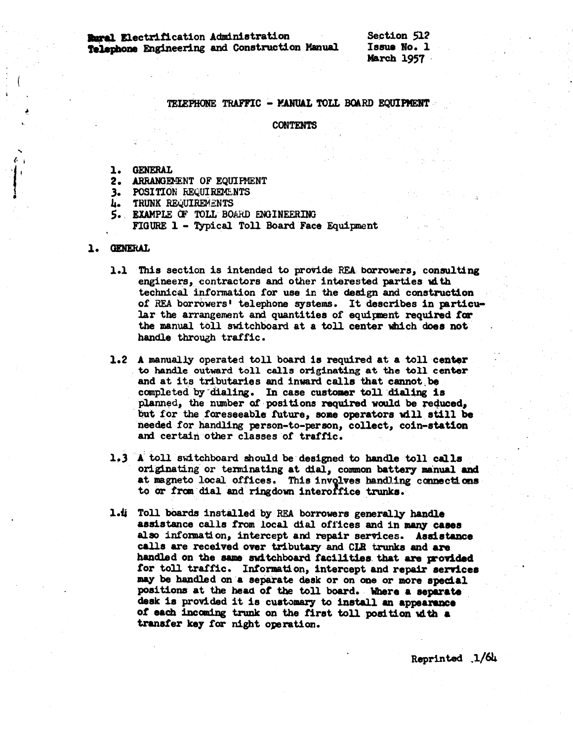Section 512 Issue No. 1 **March 1957** 

## TELEPHONE TRAFFIC - MANUAL TOLL BOARD EQUIPMENT

### **CONTENTS**

- 1. GENERAL
- 2. ARRANGEMENT OF EQUIPMENT
- 3. POSITION REQUIREMENTS
- 4. TRUNK REQUIREMENTS
- 5. EXAMPLE OF TOLL BOARD ENGINEERING FIGURE 1 - Typical Toll Board Face Equipment

### 1. GENERAL

- 1.1 This section is intended to provide REA borrowers, consulting engineers, contractors and other interested parties with technical information for use in the design and construction of REA borrowers' telephone systems. It describes in particular the arrangement and quantities of equipment required for the manual toll switchboard at a toll center which does not handle through traffic.
- 1.2 A manually operated toll board is required at a toll center to handle outward toll calls originating at the toll center and at its tributaries and inward calls that cannot be completed by dialing. In case customer toll dialing is planned, the number of positions required would be reduced, but for the foreseeable future, some operators will still be needed for handling person-to-person, collect, coin-station and certain other classes of traffic.
- 1.3 A toll switchboard should be designed to handle toll calls originating or terminating at dial, common battery manual and at magneto local offices. This involves handling connections to or from dial and ringdown interoffice trunks.
- 1.4 Toll boards installed by REA borrowers generally handle assistance calls from local dial offices and in many cases also information, intercept and repair services. Assistance calls are received over tributary and CLR trunks and are handled on the same switchboard facilities that are provided for toll traffic. Information, intercept and repair services may be handled on a separate desk or on one or more special positions at the head of the toll board. Where a separate desk is provided it is customary to install an appearance of each incoming trunk on the first toll position with a transfer key for night operation.

Reprinted 1/64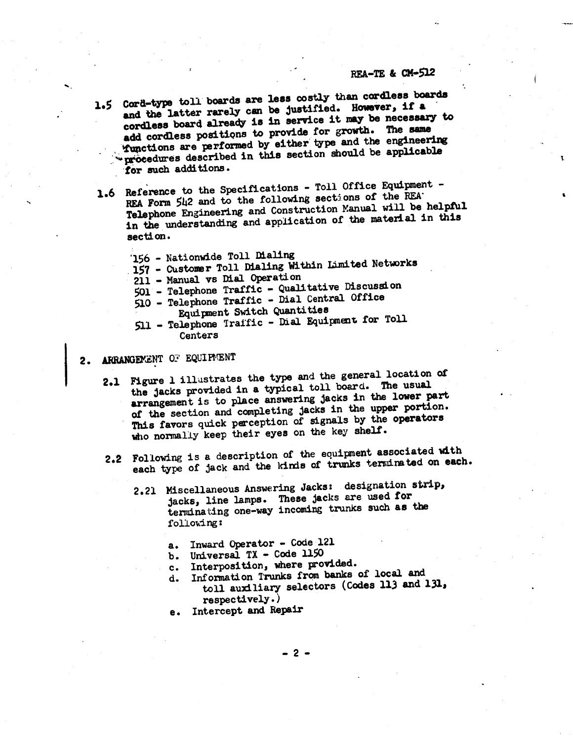- 1.5 Cord-type toll boards are less costly than cordless boards and the latter rarely can be justified. However, if a cordless board already is in service it may be necessary to add cordless positions to provide for growth. The same functions are performed by either type and the engineering "procedures described in this section should be applicable for such additions.
- 1.6 Reference to the Specifications Toll Office Equipment -REA Form 542 and to the following sections of the REA. Telephone Engineering and Construction Manual will be helpful in the understanding and application of the material in this section.
	- '156 Nationwide Toll Dialing
	- 157 Customer Toll Dialing Within Limited Networks
	- 211 Manual vs Dial Operation
	- 501 Telephone Traffic Qualitative Discussion
	- 510 Telephone Traffic Dial Central Office
		- Equipment Switch Quantities
	- 511 Telephone Traffic Dial Equipment for Toll Centers

#### ARRANGEMENT OF EQUIPMENT  $2.$

- 2.1 Figure 1 illustrates the type and the general location of the jacks provided in a typical toll board. The usual arrangement is to place answering jacks in the lower part of the section and completing jacks in the upper portion. This favors quick perception of signals by the operators who normally keep their eyes on the key shelf.
- 2.2 Following is a description of the equipment associated with each type of jack and the kinds of trunks terminated on each.
	- 2.21 Miscellaneous Answering Jacks: designation strip, jacks, line lamps. These jacks are used for terminating one-way incoming trunks such as the following:
		- Inward Operator Code 121  $a<sub>z</sub>$
		- b. Universal TX Code 1150
		- c. Interposition, where provided.
		- d. Information Trunks from banks of local and
			- toll auxiliary selectors (Codes 113 and 131, respectively.)
		- e. Intercept and Repair

 $-2-$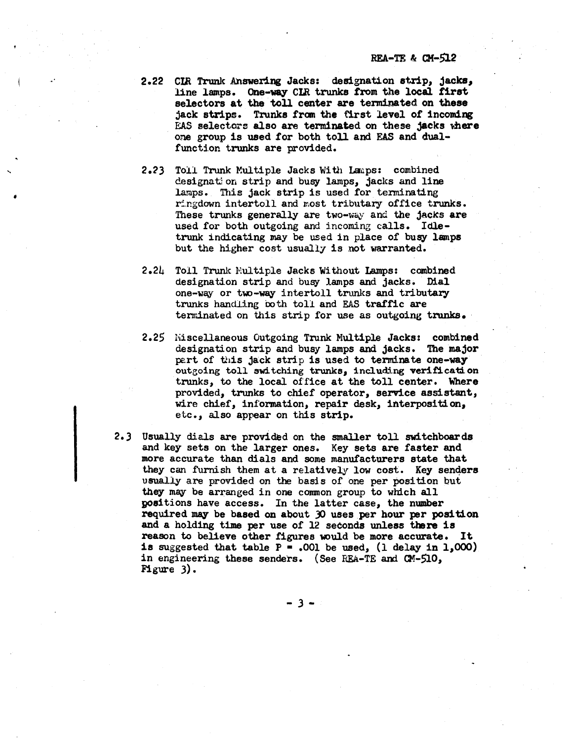2.22 em Tnmk Answering Jacks: designation strip, jacks, line lamps. One-way CIR trunks from the local first selectors at the toll center are terminated on these jack strips. Trunks fran the first level of incoming EAS selectors also are terminated on these jacks there one group is used for both toll and EAS and dualfunction trunks are provided.

.·

f

- 2.23 Toll Trunk Multiple Jacks With Laups: combined designation strip and busy lamps, jacks and line lamps. This jack strip is used for terminating ringdown intertoll and most tributary office trunks. These trunks generally are two-way and the jacks are used for both outgoing and incoming calls. Idletrunk indicating may be used in place of busy lamps but the higher cost usually is not warranted.
- 2.24 Toll Trunk Multiple Jacks Without Lamps: combined designation strip and busy lamps and jacks. Dial one-way or two-way intertoll trunks and tributary trunks handling both toll and EAS traffic are terminated on this strip for use as outgoing trunks.
- 2.25 Eiscellaneous Outgoing Trunk Multiple Jacks: combined designation strip and busy lamps and jacks. The major part of this jack strip is used to terminate one-way outgoing toll switching trunks, including verification trunks, to the local office at the toll center. Where provided, trunks to chief operator, service assistant, wire chief, information, repair desk, interposition, etc., also appear on this strip.
- 2.3 Usually dials are provided on the smaller toll switchboards and key sets on the larger ones. Key sets are faster and more accurate than dials and some manufacturers state that they can furnish them at a relatively low cost. Key senders usually are provided on the basis of one per position but they may be arranged in one common group to which all gositions have access. In the latter case, the number required may be based on about 30 uses per hour per position and a holding time per use of 12 seconds unless there is reason to believe other figures wuld be more accurate. It is suggested that table  $P = .001$  be used, (1 delay in 1,000) in engineering these senders. (See REA-TE and CM-510, Figure 3).

- 3 ..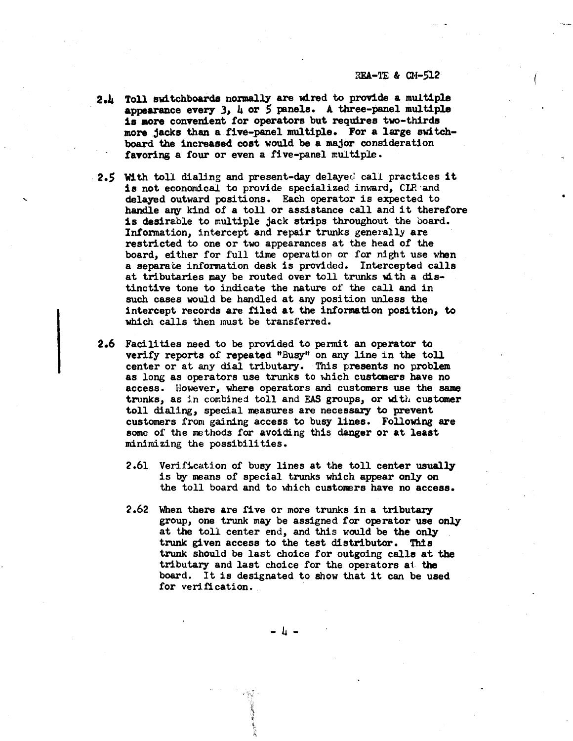- 2.4 Toll switchboards normally are wired to provide a multiple appearance every *31* 4 or *S* panels. A. three-panel multiple is more convenient for operators but requires two-thirds more jacks than a five-panel multiple. For a large switchboard the increased cost would be a major consideration favoring a four or even a five-panel multiple.
- 2.5 With toll dialing and present-day delayed call practices it is not economical to provide specialized inward, CIR and delayed outward positions. Each operator is expected to handle any kind of a toll or assistance call and it therefore is desirable to multiple jack strips throughout the board. Information, intercept and repair trunks generally are restricted to one or two appearances at the head of the board, either for full time operation or for night use when a separate information desk is provided. Intercepted calls at tributaries may be routed over toll trunks with a distinctive tone to indicate the nature oi' the call and in such cases would be handled at any position unless the intercept records are filed at the information position, to which calls then must be transferred.
- 2.6 Facilities need to be provided to pennit an operator to verify reports of repeated "Busy" on any line in the toll center or at any dial tributary. This presents no problem as long as operators use trunks to which customers have no access. However, where operators and customers use the same trunks, as in combined toll and EAS groups, or with customer toll dialing, special measures are necessary to prevent customers from gaining access to busy lines. Following are some of the methods for avoiding this danger or at least minimizing the possibilities.
	- 2.61 Verification of busy lines at the toll center usually is by means of special trunks which appear only on the toll board and to which customers have no access.
	- 2.62 When there are five or more trunks in a tributary group, one trunk may be assigned for operator use only at the toll center end, and this would be the only trunk given access to the test distributor. This trunk should be last choice for outgoing calls at tbe tributary and last choice for the operators at the board. It is designated to show that it can be used for verification.

- 4 -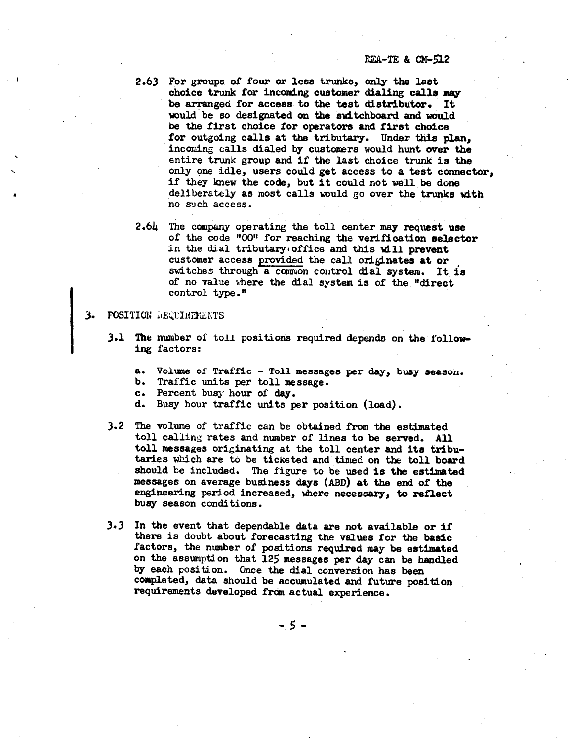## REA-TE & CM-512

- 2.6.) For groups of four or less trunks, only the last choice trunk for incoming customer dialing calls may be arranged for access to the test distributor. It would be so designated on the switchboard and would be the first choice for operators and first choice for outgoing calls at the tributary. Under this plan, incoming calls dialed by customers would hunt over the entire trunk group and if the last choice trunk is the only 9ne idle, users could get access to a test connector, if they knew the code, but it could not well be done deliberately as most calls would go over the trunks with no such access.
- 2.64 The company operating the toll center may request use of the code "00" for reaching the verification selector in the dial tributary office and this will prevent customer access provided the call originates at or . switches through a common control dial system. It is of no value where the dial system is of the "direct control type."

#### 3. **FOSITION DEQUIREMENTS**

'•

- 3.1 The number of toll positions required depends on the following factors:
	- a. Volume of Traffic Toll messages per day, busy season.
	- b. Traffic units per toll message.
	- c. Percent busy hour of day.
	- d. Busy hour traffic units per position (load).
- ).2 The volume of traffic can be obtained from the estimated toll calling rates and number of lines to be served. All toll messages originating at the toll center and its tributaries which are to be ticketed and timed on the toll board should be included. The figure to be used is the estimated messages on average business days (ABD) at the end of the engineering period increased, where necessary, to reflect bu&y' season conditions.
- *3.3* In the event that dependable data are not available or it there is doubt about forecasting the values *tor* the basic factors, the number of positions required *may* be estimated on the assumption that 125 messages per day can be handled by each position. Once the dial conversion has been completed, data should be accumulated and future position requirements developed from actual experience.

- *5* -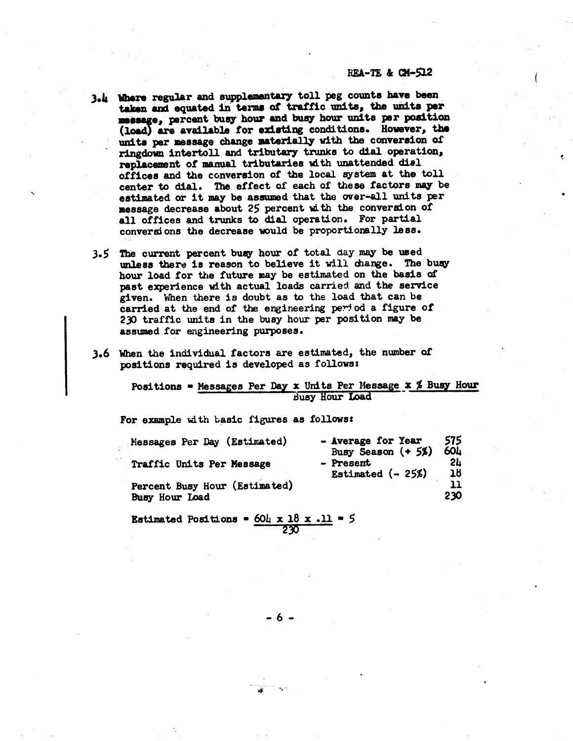- 3.4 Where regular and supplementary toll peg counts have been taken and equated in terms of traffic units, the units per message, percent busy hour and busy hour units per position (load) are available for existing conditions. However, the units per message change materially with the conversion of ringdown intertoll and tributary trunks to dial operation, replacement of manual tributaries with unattended disl offices and the conversion of the local system at the toll center to dial. The effect of each of these factors may be estimated or it may be assumed that the over-all units per message decrease about 25 percent with the conversion of all offices and trunks to dial operation. For partial conversions the decrease would be proportionally less.
- 3.5 The current percent busy hour of total day may be used unless there is reason to believe it will change. The busy hour load for the future may be estimated on the basis of past experience with actual loads carried and the service given. When there is doubt as to the load that can be carried at the end of the engineering period a figure of 230 traffic units in the busy hour per position may be assumed for engineering purposes.
- 3.6 When the individual factors are estimated, the number of positions required is developed as follows:

Positions = Messages Per Day x Units Per Message  $x \nless 5$  Busy Hour **Busy Hour Load** 

For example with basic figures as follows:

| Messages Per Day (Estimated)                    | - Average for Year<br>Busy Season $(+5\%)$ | 575<br>60L      |
|-------------------------------------------------|--------------------------------------------|-----------------|
| Traffic Units Per Message                       | - Present<br>Estimated $(-25\%)$           | <b>24</b><br>18 |
| Percent Busy Hour (Estimated)<br>Busy Hour Load |                                            | 11<br>230       |

Estimated Positions =  $60\mu \times 18 \times .11 = 5$ 230

- 6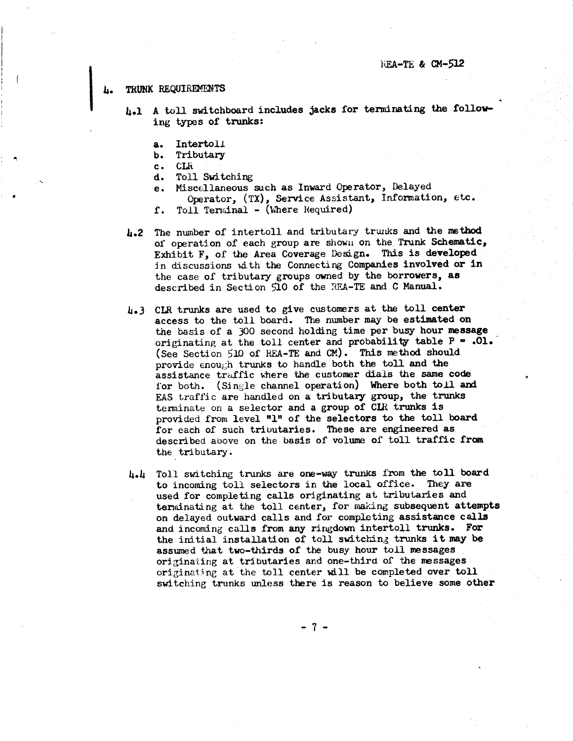#### TRUNK REQUIREMENTS Ł۰

- 4.1 A toll switchboard includes jacks for terminating the following types of trunks:
	- a. lntertoll
	- b. Tributary
	- c. CLli.
	- d. Toll Switching
	- e. Miscellaneous such as Inward Operator, Delayed Operator, (TX), Service Assistant, Information, etc.
	- f. Toll Terminal (Where Required)
- $\mu_{\bullet}$ ? The number of intertoll and tributary trunks and the method of operation of each group are shown on the Trunk Schematic, Exhibit F, of the Area Coverage Design. This is developed in discussions with the Connecting Companies involved or in the case of tributary groups owned by the borrowers, as described in Section  $510$  of the REA-TE and C Manual.
- u.J CLR trunks are used to give customers at the toll center access to the toll board. The number may be estimated on the basis of a 300 second holding time per busy hour message originating at the toll center and probability table  $P = .01$ . (See Section 510 of REA-TE and CM). This method should provide enough trunks to handle both the toll and the assistance traffic where the customer dials the same code for both. (Single channel operation) Where both toll and EAS traffic are handled on a tributary group, the trunks terminate on <sup>a</sup>selector and a group of CLR trunks is provided from level "1" of the selectors to the toll board for each of such trioutaries. These are engineered as described above on the basis of volume of toll traffic from the tributary.
- 4.4 Toll switching trunks are one-way trunks from the toll board to incoming toll selectors in the local office. They are used for completing calls originating at tributaries and terminating at the toll center, for making subsequent attempts on delayed outward calls and for completing assistance calls and incoming calls from any ringdown intertoll trunks. For the initial installation of toll switching trunks it may be assumed that two-thirds of the busy hour toll messages originating at tributaries and one-third of the messages originating at the toll center will be completed over toll switching trunks unless there is reason to believe some other

- 7 -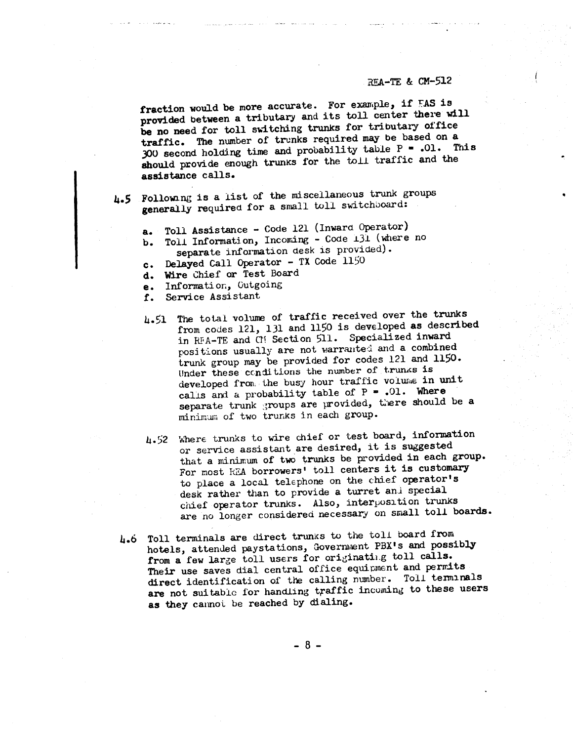# REA-TE & CM-512

..

fraction would be more accurate. For example, if FAS is provided between a tributary and its toll center there will be no need for toll switching trunks for tributary office traffic. The number of trunks required may be based on a 300 second holding time and probability table  $P = .01$ . This should provide enough trunks for the toll traffic and the assistance calls.

- 4.5 Following is a list of the miscellaneous trunk groups generally required for a small toll switchboard:
	- a. Toll Assistance Code 121 (Inward. Operator) b. Toll Information, Incoming - Code 131 (where no separate information desk is provided).
	- c. Delayed Call Operator TX Code <sup>1150</sup>
	- d. Wire Chief or Test Board
	- e. Informatior., Outgoing
	- f. Service Assistant
	- 4.51 The total volume of traffic received over the trunks from codes 121, 131 and 1150 is developed as described in RFA-TE and Cli Section 511. Specialized inward positions usually are not warranted and a combined trunk group may be provided for codes 121 and 1150. Under these conditions the number of trunks is developed from the busy hour traffic volume in unit calis and a probability table of  $P = .01$ . Where separate trunk groups are provided, there should be a minimum of two trunks in each group.
	- 4.52 Where trunks to wire chief or test board, information or service assistant are desired, it is suggested that a minimum of two trunks be provided in each group. For most REA borrowers' toll centers it is customary to place a local telephone on the chief operator's desk rather than to provide a turret ani special chief operator trunks. Also, interposition trunks are no longer considered necessary on small toll boards.
- 4.6 Toll terminals are direct trunks to the toll board from hotels, attended paystations, Government PBX's and possibly from a few large toll users for originating toll calls. Their use saves dial central office equipment and permits direct identification of the calling number. Toll terminals are not suitable for handling traffic incoming to these users as they cannot be reached by dialing.

- 8 -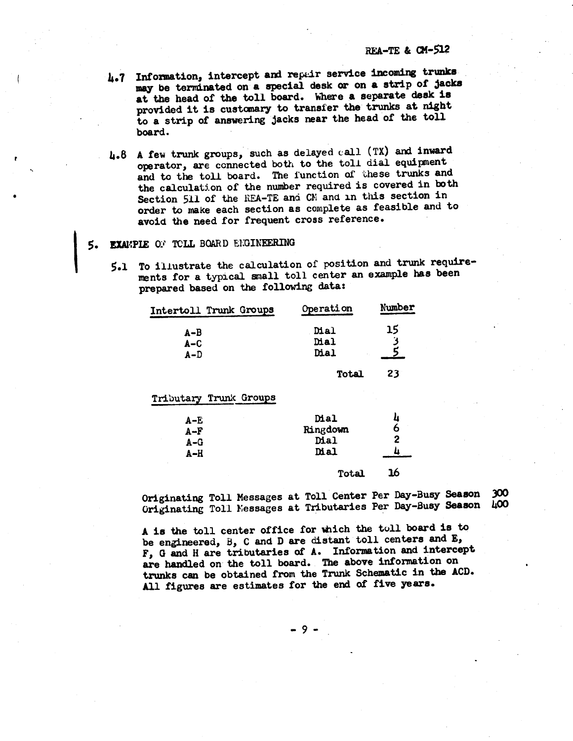- 4.7 Information, intercept and repair service incoming trunks may be terminated on a special desk or on a strip of jacks at the head of the toll board. Where a separate desk is provided it is customary to transfer the trunks at night to a strip of answering jacks near the head of the toll board.
- 4.6 A few trunk groups, such as delayed call (TX) and inward operator, are connected both to the toll dial equipnent and to the toll board. The function of these trunks and the calculation of the number required is covered in both Section 511 of the REA-TE and CM and 1n this section in order to make each section as complete as feasible and to avoid the need for frequent cross reference.
- 5. EXAMPLE OF TOLL BOARD ELGINEERING

•

).1 To illustrate the calculation of position and trunk require ments for a typical small toll center an example has been prepared based on the following data:

| Intertoll Trunk Groups | Operation   | Number          |  |  |
|------------------------|-------------|-----------------|--|--|
| $A - B$                | Dial        | 15 <sup>1</sup> |  |  |
| $A - C$                | Dial        |                 |  |  |
| A-D                    | <b>Dial</b> |                 |  |  |
|                        | Total       | 23              |  |  |

Tributary Trunk Groups

| $A-E$<br>$A-F$<br>$A-G$<br>$A-H$ | <b>Dial</b><br>Ringdown<br>Dial<br><b>Dial</b> | D<br>2 |
|----------------------------------|------------------------------------------------|--------|
|                                  | Total                                          | 16     |

Originating Toll Messages at Toll Center Per Day-Busy Season 300 Originating Toll Messages at Tributaries Per Day-Busy Season

A is the toll center office for which the toll board is to be engineered, B, C and D are distant toll centers and E, F, G and Ii are tributaries of A. Information and intercept are handled on the toll board. The above information on trunks can be obtained from the Trunk Schematic in the ACD. All figures are estimates for the end of five years.

- 9 -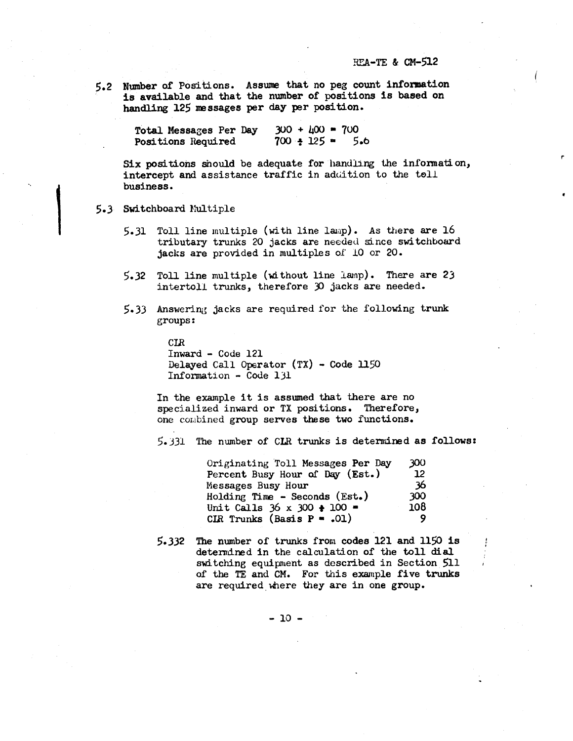5.2 Number of Positions. Assume that no peg count information is available and that the number of positions is based on handling 125 <sup>m</sup>ssages per day per position.

> Total Messages Per Day Positions Required  $300 + 400 = 700$  $700 + 125 = 5.6$

 $Six$  positions should be adequate for handling the information, intercept and assistance traffic in addition to the toll business.

5.3 Switchboard Multiple

'

- 5.31 Toll line multiple (with line lamp). As there are  $16$ tributary trunks 20 jacks are needed si nee switchboard jacks are provided in multiples of 10 or 20.
- $5.32$  Toll line multiple (without line lamp). There are 23 intertoll trunks, therefore JO jacks are needed.
- 5.33 Answering jacks are required for the following trunk groups:

ClR Inward - Code 121 Delayed Call Operator  $(TX)$  - Code 1150 Information - Code 131

In the example it is assumed that there are no specialized inward or TX positions. Therefore, one coubined group serves these two functions.

 $5.331$  The number of CLR trunks is determined as follows:

| Originating Toll Messages Per Day     | 300 |
|---------------------------------------|-----|
| Percent Busy Hour of Day (Est.)       | 12  |
| Messages Busy Hour                    | 36  |
| Holding Time - Seconds (Est.)         | 300 |
| Unit Calls $36 \times 300 \div 100 =$ | 108 |
| CIR Trunks (Basis $P = .01$ )         |     |

5.332 The number of trunks from codes 121 and 1150 is determined in the calculation of the toll dial switching equipment as described in Section 511 of the TE and CM. For this example five trunks are required where they are in one group.

- 10 -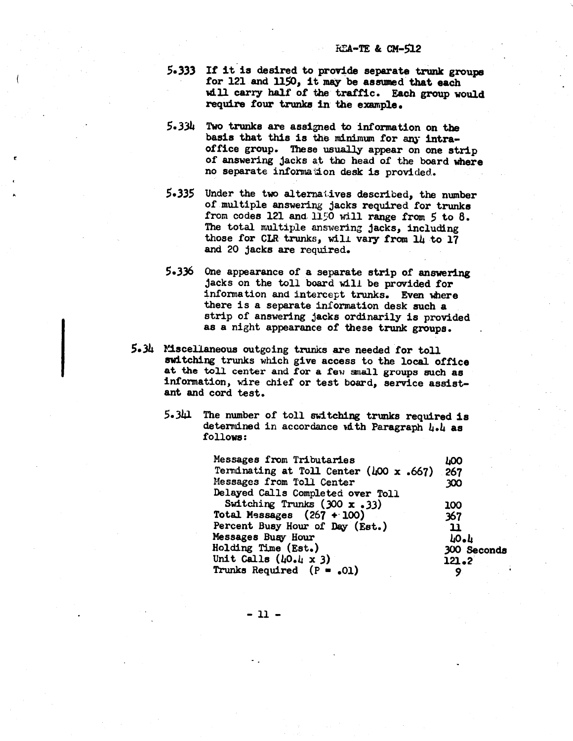- 5.333 If it is desired to provide separate trunk groups for 121 and 1150, it may be assumed that each will carry half of the traffic. Each group would require four trunks in the example.
- 5.3,3!, Two trunks are assigned to information on the basis that this is the minimum for any intraoffice group. These usually appear on one strip of answering jacks at the head of the board where no separate information desk is provided.
- 5.335 Under the two alternatives described, the number of multiple answering jacks required for trunks from codes 121 and  $1150$  will range from 5 to 8. The total multiple answering jacks, including those for CLR trunks, will vary from 14 to 17 and 20 jacks are required.
- 5.336 One appearance of a separate strip of answering jacks on the toll board will be provided for information and intercept trunks. Even where there is a separate information desk such <sup>a</sup> strip of answering jacks ordinarily is provided as a night appearance of tbese trunk groups.
- 5.34 Miscellaneous outgoing trunks are needed for toll switching trunks which give access to the local office at the toll center and for a few small groups such as information, wire chief or test board, service assistant and cord test.
	- 5.341 The number of toll switching trunks required is determined in accordance with Paragraph  $l_1 \cdot l_2$  as follows:

| Messages from Tributaries                         | <b>TOO</b>  |
|---------------------------------------------------|-------------|
| Terminating at Toll Center ( $\mu$ 00 x .667) 267 |             |
| Messages from Toll Center                         | 300         |
| Delayed Calls Completed over Toll                 |             |
| Switching Trunks (300 $x$ , 33)                   | 100         |
| Total Messages $(267 + 100)$                      | 367         |
| Percent Busy Hour of Day (Est.)                   | -11         |
| Messages Buay Hour                                | 40.4        |
| Holding Time (Est.)                               | 300 Seconds |
| Unit Calls $(\mu 0.4 x 3)$                        | 121.2       |
| Trunks Required $(P = .01)$                       |             |

- 11 -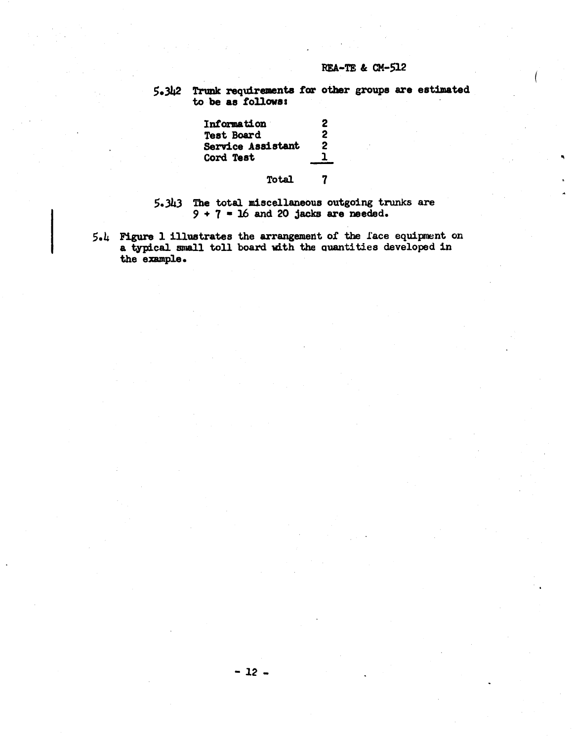5.342 Trunk requirements for other groups are estimated to be as follows:

7

| Information       | 2 |
|-------------------|---|
| <b>Test Board</b> | 2 |
| Service Assistant | 2 |
| Cord Test         |   |

## Total

5.343 The total miscellaneous outgoing trunks are<br> $9 + 7 = 16$  and 20 jacks are needed.

 $5.4$  Figure 1 illustrates the arrangement of the face equipment on a typical small toll board with the quantities developed in the example.